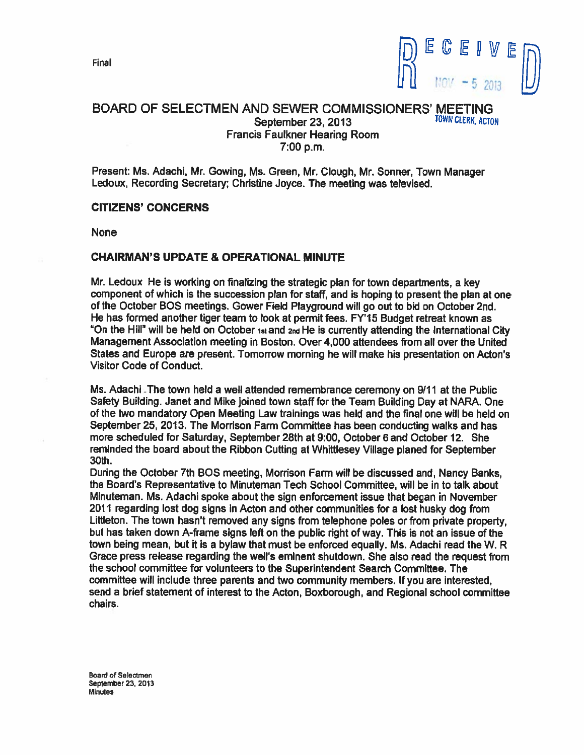Final



### BOARD OF SELECTMEN AND SEWER COMMISSIONERS' MEETING<br>September 23, 2013 September 23, 2013 Francis Faulkner Hearing Room 7:00 p.m.

Present: Ms. Adachi, Mr. Gowing, Ms. Green, Mr. Clough, Mr. Sonner, Town Manager Ledoux, Recording Secretary; Christine Joyce. The meeting was televised,

#### CITIZENS' CONCERNS

None

#### CHAIRMAN'S UPDATE & OPERATIONAL MINUTE

Mr. Ledoux He is working on finalizing the strategic <sup>p</sup>lan for town departments, <sup>a</sup> key componen<sup>t</sup> of which is the succession <sup>p</sup>lan for staff, and is hoping to presen<sup>t</sup> the <sup>p</sup>lan at one of the October SOS meetings. Gower Field Playground will go out to bid on October 2nd. He has formed another tiger team to look at permit fees. FY'15 Budget retreat known as "On the Hill" will be held on October ist and 2nd He is currently attending the International City Management Association meeting in Boston. Over 4,000 attendees from all over the United States and Europe are present. Tomorrow morning he will make his presentation on Acton's Visitor Code of Conduct.

Ms. Adachi -The town held <sup>a</sup> well attended remembrance ceremony on 9/11 at the Public Safety Building. Janet and Mike joined town staff for the Team Building Day at NARA. One of the two mandatory Open Meeting Law trainings was held and the final one will be held on September 25, 2013. The Morrison Farm Committee has been conducting walks and has more scheduled for Saturday, September 28th at 9:00, October 6 and October 12. She reminded the board about the Ribbon Cuffing at Whittlesey Village <sup>p</sup>laned for September 30th.

During the October 7th BOS meeting, Morrison Farm will be discussed and, Nancy Banks, the Board's Representative to Minuteman Tech School Committee, will be in to talk about Minuteman. Ms. Adachi spoke about the sign enforcement issue that began in November <sup>2011</sup> regarding lost dog signs in Acton and other communities for <sup>a</sup> lost husky dog from Littleton. The town hasn't removed any signs from telephone poles or from private property, but has taken down A-frame signs left on the public right of way. This is not an issue of the town being mean, but it is <sup>a</sup> bylaw that must be enforced equally. Ms. Adachi read the W. R Grace press release regarding the well's eminent shutdown. She also read the reques<sup>t</sup> from the school committee for volunteers to the Superintendent Search Committee. The committee will include three parents and two community members. If you are interested, send <sup>a</sup> brief statement of interest to the Acton, Boxborough, and Regional school committee chairs.

Board of Selectmen September 23, 2013 **Minutes**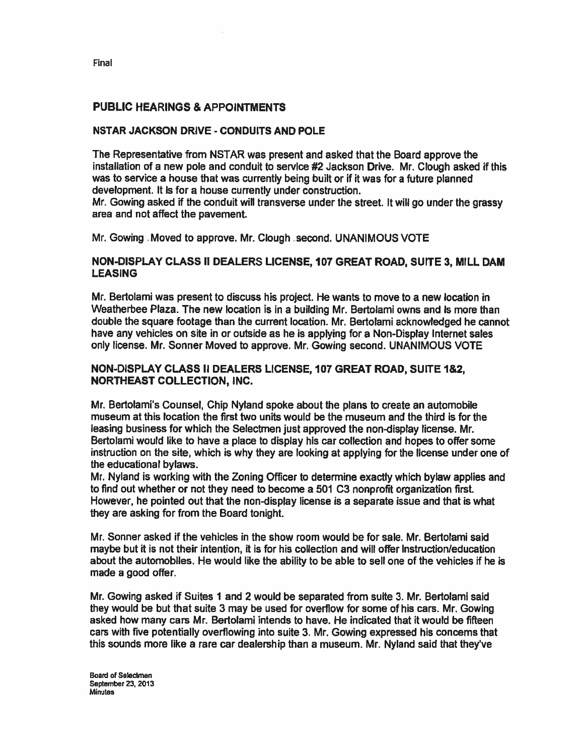Final

## PUBLIC HEARINGS & APPOINTMENTS

#### NSTAR JACKSON DRIVE - CONDUITS AND POLE

The Representative from NSTAR was presen<sup>t</sup> and asked that the Board approve the installation of a new pole and conduit to service #2 Jackson Drive. Mr. Clough asked if this was to service a house that was currently being built or if it was for a future planned development. It is for <sup>a</sup> house currently under construction.

Mr. Cowing asked if the conduit will transverse under the street. It will go under the grassy area and not affect the pavement.

Mr. Gowing Moved to approve. Mr. Clough second. UNANIMOUS VOTE

#### NON-DISPLAY CLASS II DEALERS LICENSE, 107 GREAT ROAD, SUITE 3, MILL DAM LEASING

Mr. Bertolami was presen<sup>t</sup> to discuss his project. He wants to move to <sup>a</sup> new location in Weatherbee Plaza. The new location is in <sup>a</sup> building Mr. Bertolami owns and is more than double the square footage than the current location. Mr. Bertolami acknowledged he cannot have any vehicles on site in or outside as he is applying for <sup>a</sup> Non-Display Internet sales only license. Mr. Sonner Moved to approve. Mr. Cowing second. UNANIMOUS VOTE

#### NON-DISPLAY CLASS II DEALERS LICENSE, 107 GREAT ROAD, SUITE 1&2, NORTHEAST COLLECTION, INC.

Mr. Bertolami's Counsel, Chip Nyland spoke about the plans to create an automobile museum at this location the first two units would be the museum and the third is for the leasing business for which the Selectmen just approved the non-display license. Mr. Bertolami would like to have <sup>a</sup> place to display his car collection and hopes to offer some instruction on the site, which is why they are looking at applying for the license under one of the educational bylaws.

Mr. Nyland is working with the Zoning Officer to determine exactly which bylaw applies and to find out whether or not they need to become <sup>a</sup> 501 C3 nonprofit organization first. However, he pointed out that the non-display license is <sup>a</sup> separate issue and that is what they are asking for from the Board tonight.

Mr. Sonner asked if the vehicles in the show room would be for sale. Mr. Bertolami said maybe but it is not their intention, it is for his collection and will offer instruction/education about the automobiles. He would like the ability to be able to sell one of the vehicles if he is made <sup>a</sup> good offer.

Mr. Gowing asked if Suites 1 and 2 would be separated from suite 3. Mr. Bertolami said they would be but that suite 3 may be used for overflow for some of his cars. Mr. Sowing asked how many cars Mr. Bertolami intends to have. He indicated that it would be fifteen cars with five potentially overflowing into suite 3. Mr. Cowing expressed his concerns that this sounds more like <sup>a</sup> rare car dealership than <sup>a</sup> museum. Mr. Nyland said that they've

Board of Selectmen September 23, 2013 Minutes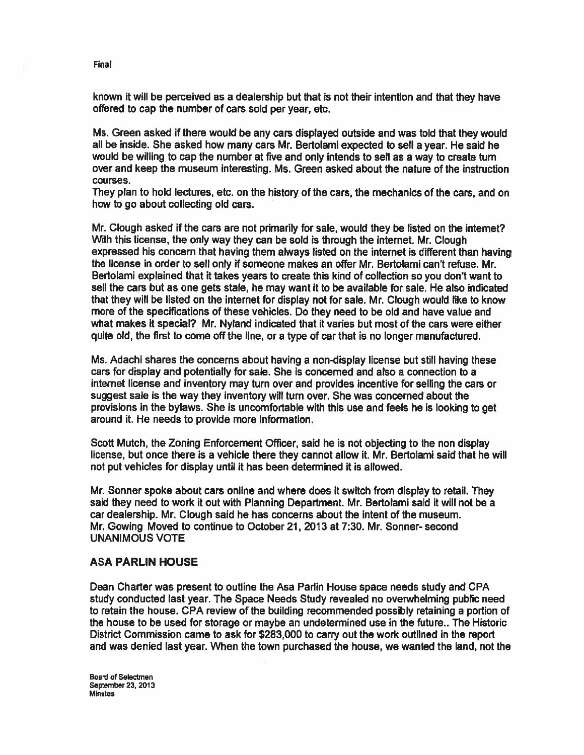known it will be perceived as a dealership but that is not their intention and that they have offered to cap the number of cars sold per year, etc.

Ms. Green asked if there would be any cars displayed outside and was told that they would all be inside. She asked how many cars Mr. Bertolami expected to sell <sup>a</sup> year. He said he would be willing to cap the number at five and only intends to sell as <sup>a</sup> way to create turn over and keep the museum interesting. Ms. Green asked about the nature of the instruction courses.

They <sup>p</sup>lan to hold lectures, etc. on the history of the cars, the mechanics of the cars, and on how to go about collecting old cars.

Mr. Clough asked if the cars are not primarily for sale, would they be listed on the internet? With this license, the only way they can be sold is through the internet. Mr. Clough expressed his concern that having them always listed on the internet is different than having the license in order to sell only if someone makes an offer Mr. Bertolami can't refuse. Mr. Bertolami explained that it takes years to create this kind of collection so you don't want to sell the cars but as one gets stale, he may want it to be available for sale. He also indicated that they will be listed on the internet for display not for sale. Mr. Clough would like to know more of the specifications of these vehicles. Do they need to be old and have value and what makes it special? Mr. Nyland indicated that it varies but most of the cars were either quite old, the first to come off the line, or <sup>a</sup> type of car that is no longer manufactured.

Ms. Adachi shares the concerns about having <sup>a</sup> non-display license but still having these cars for display and potentially for sale. She is concerned and also <sup>a</sup> connection to <sup>a</sup> internet license and inventory may turn over and provides incentive for selling the cars or sugges<sup>t</sup> sale is the way they inventory will turn over. She was concerned about the provisions in the bylaws. She is uncomfortable with this use and feels he is looking to ge<sup>t</sup> around it. He needs to provide more information.

Scott Mutch, the Zoning Enforcement Officer, said he is not objecting to the non display license, but once there is <sup>a</sup> vehicle there they cannot allow it. Mr. Bertolami said that he will not pu<sup>t</sup> vehicles for display until it has been determined it is allowed.

Mr. Sonner spoke about cars online and where does ft switch from display to retail. They said they need to work it out with Planning Department. Mr. Bertolami said ft will not be <sup>a</sup> car dealership. Mr. Clough said he has concerns about the intent of the museum. Mr. Gowing Moved to continue to October 21, 2013 at 7:30. Mr. Sonner- second UNANIMOUS VOTE

#### ASA PARLIN HOUSE

Dean Charter was presen<sup>t</sup> to outline the Asa Partin House space needs study and CPA study conducted last year. The Space Needs Study revealed no overwhelming public need to retain the house. CPA review of the building recommended possibly retaining <sup>a</sup> portion of the house to be used for storage or maybe an undetermined use in the future.. The Historic District Commission came to ask for \$283,000 to carry out the work outlined in the repor<sup>t</sup> and was denied last year. When the town purchased the house, we wanted the land, not the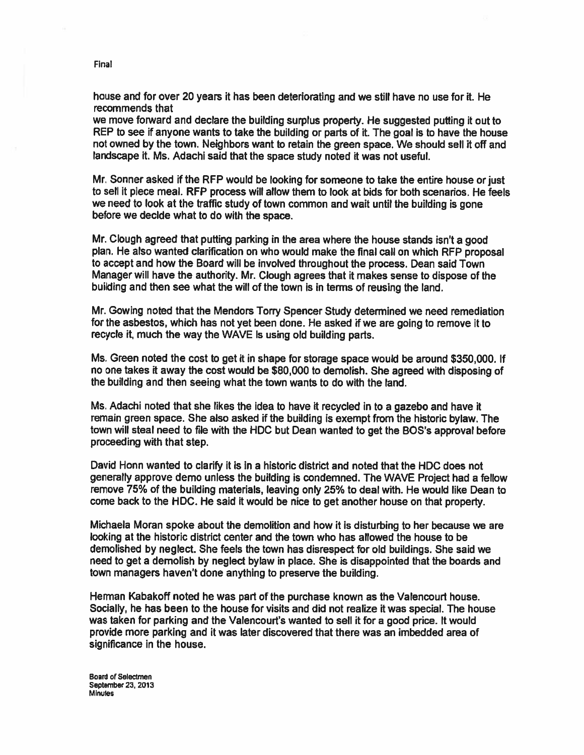house and for over 20 years it has been deteriorating and we still have no use for it. He recommends that

we move forward and declare the building surplus property. He suggested puffing it out to REP to see if anyone wants to take the building or parts of it. The goal is to have the house not owned by the town. Neighbors want to retain the green space. We should sell it off and landscape it. Ms. Adachi said that the space study noted it was not useful.

Mr. Sonner asked if the RFP would be looking for someone to take the entire house or just to sell it piece meal. RFP process will allow them to look at bids for both scenarios. He feels we need to look at the traffic study of town common and wait until the building is gone before we decide what to do with the space.

Mr. Clough agree<sup>d</sup> that pulling parking in the area where the house stands isn't <sup>a</sup> goo<sup>d</sup> <sup>p</sup>lan, He also wanted clarification on who would make the final call on which RFP proposa<sup>l</sup> to accep<sup>t</sup> and how the Board will be involved throughout the process. Dean said Town Manager will have the authority. Mr. dough agrees that it makes sense to dispose of the building and then see what the will of the town is in terms of reusing the land.

Mr. Gowing noted that the Mendors Torry Spencer Study determined we need remediation for the asbestos, which has not ye<sup>t</sup> been done. He asked if we are going to remove it to recycle it, much the way the WAVE is using old building parts.

Ms. Green noted the cost to ge<sup>t</sup> it in shape for storage space would be around \$350,000. If no one takes it away the cost would be \$80,000 to demolish. She agree<sup>d</sup> with disposing of the building and then seeing what the town wants to do with the land.

Ms. Adachi noted that she likes the idea to have it recycled in to <sup>a</sup> gazebo and have it remain green space. She also asked if the building is exemp<sup>t</sup> from the historic bylaw. The town will steal need to file with the HDC but Dean wanted to ge<sup>t</sup> the BOS's approva<sup>l</sup> before proceeding with that step.

David Honn wanted to clarify it is in <sup>a</sup> historic district and noted that the HOC does not generally approve demo unless the building is condemned. The WAVE Project had <sup>a</sup> fellow remove 75% of the building materials, leaving only 25% to deal with. He would like Dean to come back to the HDC. He said it would be nice to ge<sup>t</sup> another house on that property.

Michaela Moran spoke about the demolition and how it is disturbing to her because we are looking at the historic district center and the town who has allowed the house to be demolished by neglect. She feels the town has disrespect for old buildings. She said we need to ge<sup>t</sup> <sup>a</sup> demolish by neglect bylaw in place. She is disappointed that the boards and town managers haven't done anything to preserve the building.

Herman Kabakoff noted he was par<sup>t</sup> of the purchase known as the Valencourt house. Socially, he has been to the house for visits and did not realize ft was special. The house was taken for parking and the Valencourt's wanted to sell it for <sup>a</sup> good price. It would provide more parking and it was later discovered that there was an imbedded area of significance in the house.

Board of Selectmen September 23, 2013 Minutes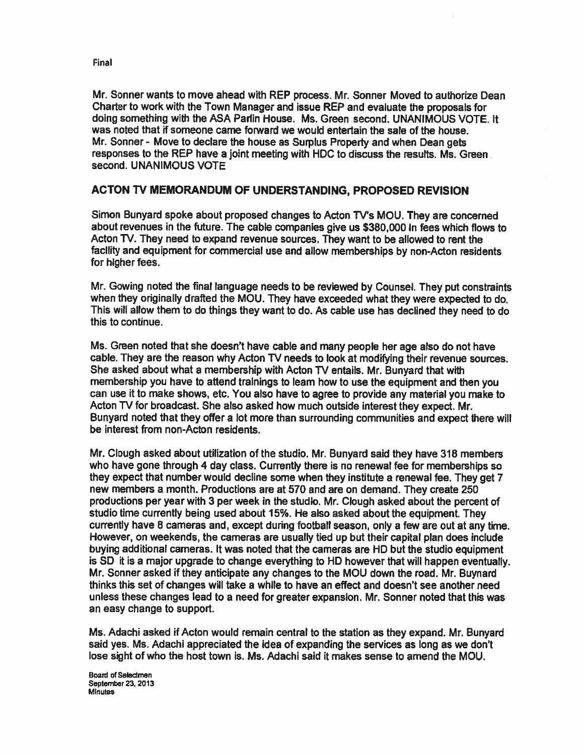Mr. Sonner wants to move ahead with REP process. Mr. Sonner Moved to authorize Dean Charter to work with the Town Manager and issue REP and evaluate the proposals for doing something with the ASA Padin House. Ms. Green second. UNANIMOUS VOTE. It was noted that if someone came forward we would entertain the sale of the house. Mr. Sonner - Move to declare the house as Surplus Property and when Dean gets responses to the REP have <sup>a</sup> joint meeting with HDC to discuss the results. Ms. Green second. UNANIMOUS VOTE

#### ACTON TV MEMORANDUM OF UNDERSTANDING, PROPOSED REVISION

Simon Bunyard spoke about proposed changes to Acton TV's MOU. They are concerned about revenues in the future. The cable companies <sup>g</sup>ive us \$380,000 in fees which flows to Acton TV. They need to expand revenue sources. They want to be allowed to rent the facility and equipment for commercial use and allow memberships by non-Acton residents for higher fees.

Mr. Cowing noted the final language needs to be reviewed by Counsel. They pu<sup>t</sup> constraints when they originally drafted the MOU. They have exceeded what they were expected to do. This will allow them to do things they want to do. As cable use has declined they need to do this to continue.

Ms. Green noted that she doesn't have cable and many people her age also do not have cable. They are the reason why Acton TV needs to look at modifying their revenue sources. She asked about what <sup>a</sup> membership with Acton TV entails. Mr. Bunyard that with membership you have to attend trainings to learn how to use the equipment and then you can use it to make shows, etc. You also have to agree to provide any material you make to Acton TV for broadcast. She also asked how much outside interest they expect. Mr. Bunyard noted that they offer <sup>a</sup> lot more than surrounding communities and expec<sup>t</sup> there will be interest from non-Acton residents.

Mr. Clough asked about utilization of the studio. Mr. Bunyard said they have 318 members who have gone through 4 day class. Currently there is no renewal fee for memberships so they expec<sup>t</sup> that number would decline some when they institute <sup>a</sup> renewal fee. They ge<sup>t</sup> <sup>7</sup> new members <sup>a</sup> month. Productions are at 570 and are on demand. They create 250 productions per year with 3 per week in the studio. Mr. Clough asked about the percen<sup>t</sup> of studio time currently being used about 15%. He also asked about the equipment. They currently have 8 cameras and, excep<sup>t</sup> during football season, only <sup>a</sup> few are out at any time. However, on weekends, the cameras are usually tied up but their capital <sup>p</sup>lan does include buying additional cameras. It was noted that the cameras are HO but the studio equipment is SD it is <sup>a</sup> major upgrade to change everything to HD however that will happen eventually. Mr. Sonner asked if they anticipate any changes to the MOU down the road. Mr. Buynard thinks this set of changes will take a while to have an effect and doesn't see another need unless these changes lead to <sup>a</sup> need for greater expansion. Mr. Sonner noted that this was an easy change to support.

Ms. Adachi asked if Acton would remain central to the station as they expand. Mr. Bunyard said yes. Ms. Adachi appreciated the idea of expanding the services as long as we don't lose sight of who the host town is. Ms. Adachi said it makes sense to amend the MOU.

Board of Selectmen September 23, 2013 Minutes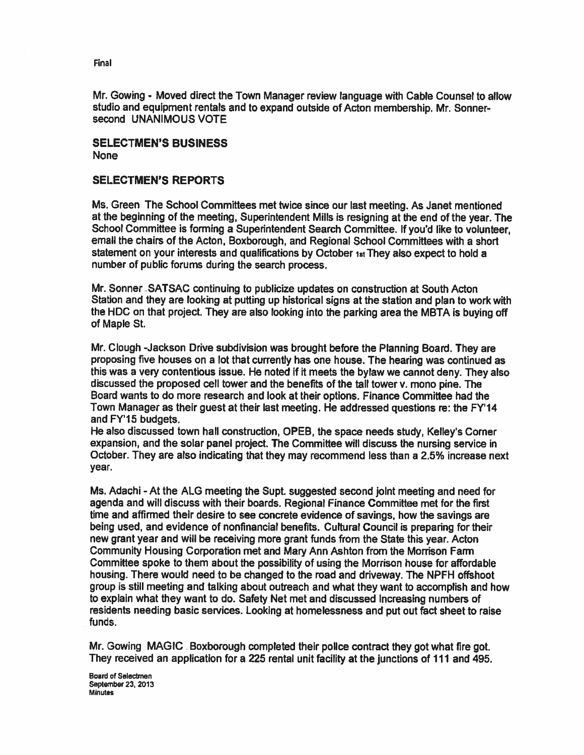Mr. Cowing - Moved direct the Town Manager review language with Cable Counsel to allow studio and equipment rentals and to expand outside of Acton membership. Mr. Sonner second UNANIMOUS VOTE

## SELECTMEN'S BUSINESS None

# SELECTMEN'S REPORTS

Ms. Green The School Committees met twice since our last meeting. As Janet mentioned at the beginning of the meeting, Superintendent Mills is resigning at the end of the year. The School Committee is forming <sup>a</sup> Superintendent Search Committee. If you'd like to volunteer, email the chairs of the Acton, Boxborough, and Regional School Committees with <sup>a</sup> short statement on your interests and qualifications by October istThey also expec<sup>t</sup> to hold <sup>a</sup> number of public forums during the search process.

Mr. Sonner SATSAC continuing to publicize updates on construction at South Acton Station and they are looking at putting up historical signs at the station and <sup>p</sup>lan to work with the HDC on that project. They are also looking into the parking area the MBTA is buying off of Maple St.

Mr. Clough -Jackson Drive subdivision was brought before the Planning Board. They are proposing five houses on <sup>a</sup> lot that currently has one house. The hearing was continued as this was <sup>a</sup> very contentious issue. He noted if it meets the bylaw we cannot deny. They also discussed the proposed cell tower and the benefits of the tall tower v. mono pine. The Board wants to do more research and look at their options. Finance Committee had the Town Manager as their gues<sup>t</sup> at their last meeting. He addressed questions re: the FY'14 and FY'15 budgets.

He also discussed town hall construction, OPEB, the space needs study, Kelley's Corner expansion, and the solar panel project. The Committee will discuss the nursing service in October. They are also indicating that they may recommend less than <sup>a</sup> 2.5% increase next year.

Ms. Adachi - At the ALG meeting the Supt. suggested second joint meeting and need for agenda and will discuss with their boards. Regional Finance Committee met for the first time and affirmed their desire to see concrete evidence of savings, how the savings are being used, and evidence of nonfinancial benefits. Cultural Council is preparing for their new gran<sup>t</sup> year and will be receiving more gran<sup>t</sup> funds from the State this year. Acton Community Housing Corporation met and Mary Ann Ashton from the Morrison Farm Committee spoke to them about the possibility of using the Morrison house for affordable housing. There would need to be changed to the road and driveway. The NPFH offshoot group is still meeting and talking about outreach and what they want to accomplish and how to explain what they want to do. Safety Net met and discussed increasing numbers of residents needing basic services. Looking at homelessness and pu<sup>t</sup> out fact sheet to raise funds.

Mr. Gowing MAGIC Boxborough completed their police contract they got what fire got. They received an application for <sup>a</sup> 225 rental unit facility at the junctions of 111 and 495.

Board of Selectmen September 23, 2013 **Minutes**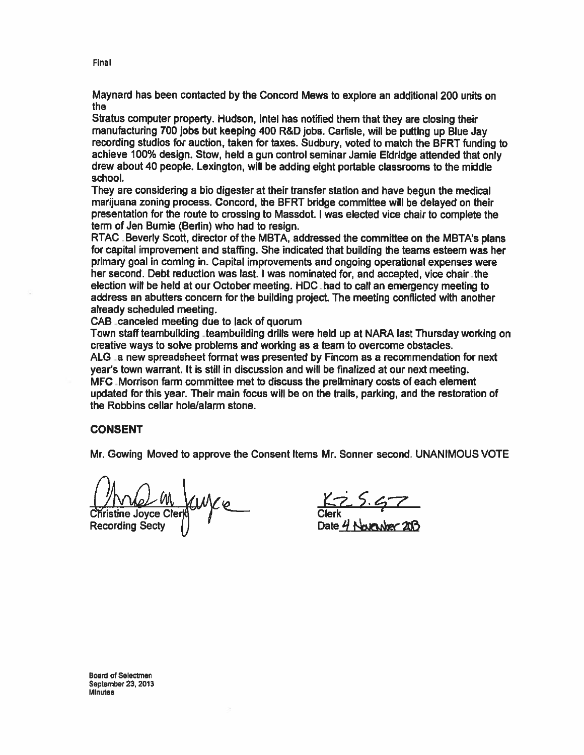Maynard has been contacted by the Concord Mews to explore an additional 200 units on the

Stratus computer property. Hudson, Intel has notified them that they are closing their manufacturing <sup>700</sup> jobs but keeping <sup>400</sup> R&D jobs. Carlisle, will be putting up Blue Jay recording studios for auction, taken for taxes. Sudbury, voted to match the BFRT funding to achieve 100% design. Stow, held <sup>a</sup> gun control seminar Jamie Eldridge attended that only drew about 40 people. Lexington, will be adding eight portable classrooms to the middle school.

They are considering <sup>a</sup> bio digester at their transfer station and have begun the medical marijuana zoning process. Concord, the BFRT bridge committee will be delayed on their presentation for the route to crossing to Massdot. <sup>I</sup> was elected vice chair to complete the term of Jen Burnie (Berlin) who had to resign.

RTAC Beverty Scott, director of the MBTA, addressed the committee on the MBTA's <sup>p</sup>lans for capital improvement and staffing. She indicated that building the teams esteem was her primary goal in coming in. Capital improvements and ongoing operational expenses were her second. Debt reduction was last. I was nominated for, and accepted, vice chair the election will be held at our October meeting. HDC -had to call an emergency meeting to address an abutters concern for the building project. The meeting conflicted with another already scheduled meeting.

CAB canceled meeting due to lack of quorum

Town staff teambuilding teambuilding drills were held up at NARA last Thursday working on creative ways to solve problems and working as <sup>a</sup> team to overcome obstacles. ALG a new spreadsheet format was presented by Fincom as a recommendation for next year's town warrant. It is still in discussion and will be finalized at our next meeting. MFC Morrison farm committee met to discuss the preliminary costs of each element updated for this year. Their main focus will be on the trails, parking, and the restoration of the Robbins cellar hole/alarm stone.

#### CONSENT

Mr. Gowing Moved to approve the Consent Items Mr. Sonner second. UNANIMOUS VOTE

Christine Joyce Clerk Clerk Clerk Clerk Clerk Power 200

----

Final

Board of Selectmen September 23, 2013 Minutes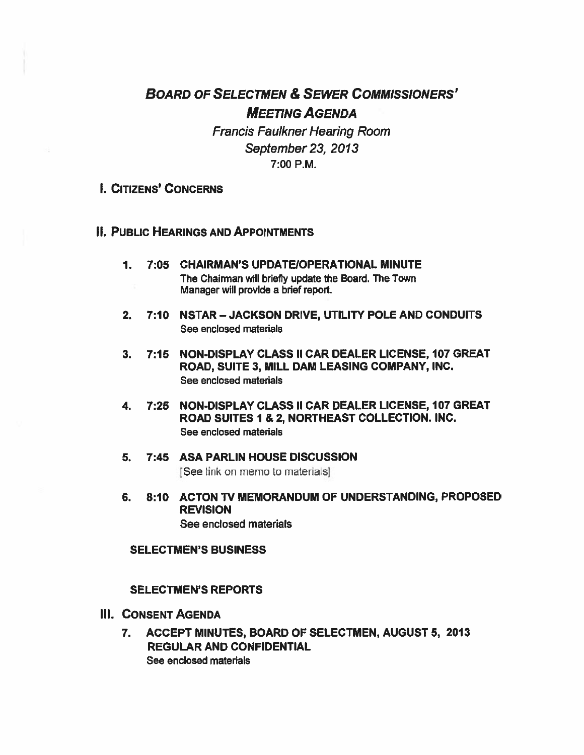# BOARD OF SELECTMEN & SEWER COMMISSIONERS' MEETING AGENDA

Francis Faulkner Hearing Room September 23, 2013 7:00 P.M.

- I. CITIZENS' CONCERNS
- **II. PUBLIC HEARINGS AND APPOINTMENTS** 
	- 1. 7:05 CHAIRMAN'S UPDATEIOPERATIONAL MINUTE The Chairman will briefly update the Board. The Town Manager will provide <sup>a</sup> brief report.
	- 2. 7:10 NSTAR —JACKSON DRIVE, UTILITY POLE AND CONDUITS See enclosed materials
	- 3. 7:15 NON-DISPLAY CLASS II CAR DEALER LICENSE, 107 GREAT ROAD, SUITE 3, MILL DAM LEASING COMPANY, INC. See enclosed materials
	- 4. 7:25 NON-DISPLAY CLASS II CAR DEALER LICENSE, 107 GREAT ROAD SUITES I & 2, NORTHEAST COLLECTION. INC. See enclosed materials
	- 5. 7:45 ASA PARLIN HOUSE DISCUSSION [See ink on memo to materials]
	- 6. 8:10 ACTON TV MEMORANDUM OF UNDERSTANDING, PROPOSED REVISION See enclosed materials

#### SELECTMEN'S BUSINESS

#### SELECTMEN'S REPORTS

- III. CONSENT AGENDA
	- 7. ACCEPT MINUTES, BOARD OF SELECTMEN, AUGUST 5, 2013 REGULAR AND CONFIDENTIAL See enclosed materials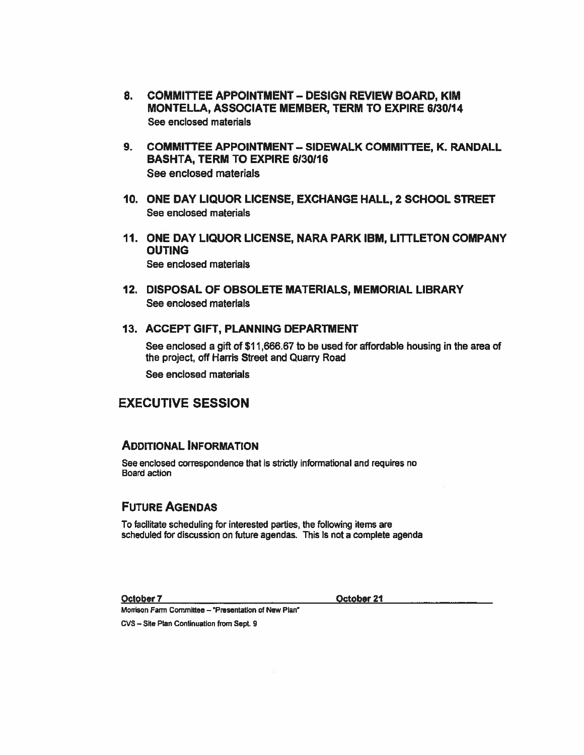- 8. COMMITTEE APPOINTMENT DESIGN REVIEW BOARD, KIM MONTELLA, ASSOCIATE MEMBER, TERM TO EXPIRE 6130114 See enclosed materials
- 9. COMMITTEE APPOINTMENT SIDEWALK COMMITTEE, K. RANDALL BASHTA, TERM TO EXPIRE 6130116 See enclosed materials
- 10. ONE DAY LIQUOR LICENSE, EXCHANGE HALL, 2 SCHOOL STREET See enclosed materials
- 11. ONE DAY LIQUOR LICENSE, NARA PARK IBM, LITTLETON COMPANY OUTING See enclosed materials
- 12. DISPOSAL OF OBSOLETE MATERIALS, MEMORIAL LIBRARY See enclosed materials

#### 13. ACCEPT GIFT, PLANNING DEPARTMENT

See enclosed <sup>a</sup> gift of \$11,666.67 to be used for affordable housing in the area of the project, off Harris Street and Quarry Road

See enclosed materials

# EXECUTIVE SESSION

### ADDITIONAL INFORMATION

See enclosed correspondence that is strictly informational and requires no Board action

# FUTURE AGENDAS

To facilitate scheduling for interested parties, the following items are scheduled for discussion on future agendas. This is not <sup>a</sup> complete agenda

October 7 October 21

Morrison Farm Committee — 'Presentation of New Plan'

cvs — Site Plan Continuation from Sept. 9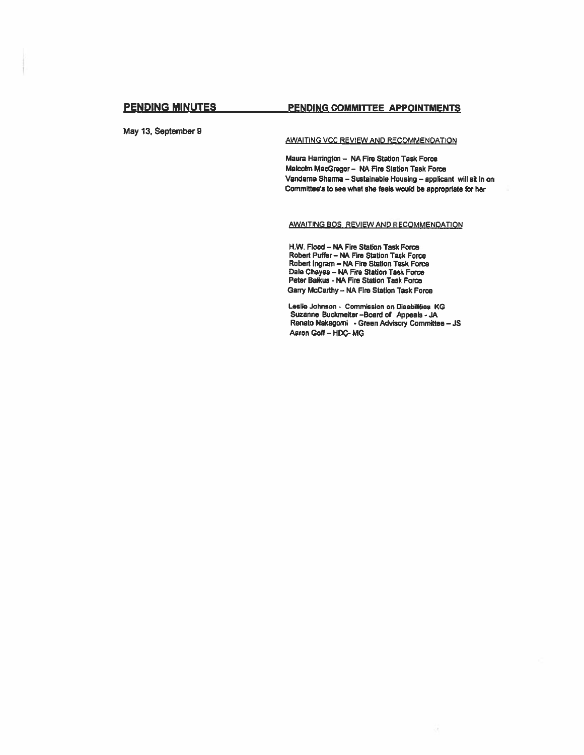May 13, September 9

## PENDING MINUTES PENDING COMMITTEE APPOINTMENTS

AWAITING VCC REVIEW AND RECOMMENDATION

Maura Harrington - NA Fire Station Task Force Matokn MacGregor— NA Fire Station Task Force Vandarna Sharma - Sustainable Housing - applicant will sit In on Committee's to see what she feels would be appropriate for her

#### AWAITING BOS, REVIEW AND RECOMMENDATION

11W. Flood — NA Fire Station Task Force Robert Puffer — NA Fire Station Task Force Robert Ingram — NA Fire Station Task Force Dale Chayes — NA Fire Station Task Force Peter Balkus - NA Fire Station Task Force Garry Mccarthy— NA Fire Station Task Force

Leslie Johnson - Commission on Disabilities KG Suzanne Buckmeiter-Board of Appeals - JA Renato Nakagomi - Green Advisory Committee — JS Aaron Goff-HDC-MG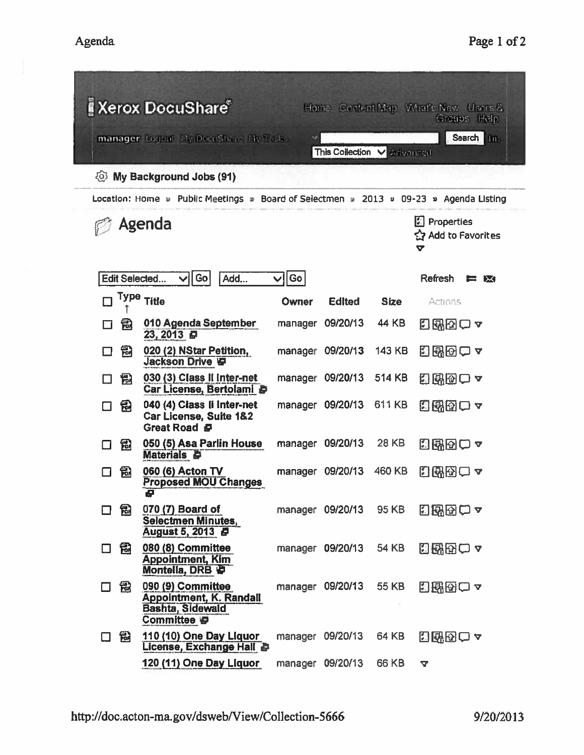| <b>Kerox DocuShare®</b><br>Home Content Map What's New Users &<br>Greups Help         |                                                                                               |                    |                                                |              |                 |  |  |  |
|---------------------------------------------------------------------------------------|-----------------------------------------------------------------------------------------------|--------------------|------------------------------------------------|--------------|-----------------|--|--|--|
| Search Im<br>manager Logout My DocuShare My Tasks<br>v.<br>This Collection V Advanced |                                                                                               |                    |                                                |              |                 |  |  |  |
| My Background Jobs (91)<br>දිමු.                                                      |                                                                                               |                    |                                                |              |                 |  |  |  |
| Location: Home u Public Meetings = Board of Selectmen = 2013 = 09-23 = Agenda Listing |                                                                                               |                    |                                                |              |                 |  |  |  |
| Agenda                                                                                |                                                                                               |                    | <b>E</b> Properties<br>숲 Add to Favorites<br>7 |              |                 |  |  |  |
| <b>Edit Selected</b>                                                                  | Go<br>Add<br>Ⅵ                                                                                | Go<br>$\checkmark$ |                                                |              | Refresh<br>E IX |  |  |  |
|                                                                                       | Type Title                                                                                    | Owner              | <b>Edited</b>                                  | <b>Size</b>  | Actions         |  |  |  |
| 鳱                                                                                     | 010 Agenda September<br>23, 2013日                                                             | manager            | 09/20/13                                       | 44 KB        | 日盛図ロャ           |  |  |  |
| 匋                                                                                     | 020 (2) NStar Petition,<br><b>Jackson Drive IP</b>                                            | manager            | 09/20/13                                       | 143 KB       | 8 5 6 0 7       |  |  |  |
| 闱                                                                                     | 030 (3) Class II Inter-net<br>Car License, Bertolami &                                        |                    | manager 09/20/13                               | 514 KB       | 日界図口ャ           |  |  |  |
| 园                                                                                     | 040 (4) Class li Inter-net<br>Car License, Suite 1&2<br>Great Road B                          |                    | manager 09/20/13                               | 611 KB       | 田邸団口ャ           |  |  |  |
| 铅                                                                                     | 050 (5) Asa Parlin House<br><b>Materials &amp;</b>                                            |                    | manager 09/20/13                               | 28 KB        | 日配図の~           |  |  |  |
| 氝                                                                                     | 060 (6) Acton TV<br><b>Proposed MOU Changes</b><br>ē                                          |                    | manager 09/20/13                               | 460 KB       | 同附図ロュ           |  |  |  |
| 匐<br>H                                                                                | 070 (7) Board of<br><b>Selectmen Minutes,</b><br>August 5, 2013 <b>B</b>                      |                    | manager 09/20/13                               | 95 KB        | <b>HRAC .</b>   |  |  |  |
| 囹                                                                                     | 080 (8) Committee<br><b>Appointment, Kim</b><br>Montella, DRB D                               |                    | manager 09/20/13                               | <b>54 KB</b> | 日配図口~           |  |  |  |
| 冠<br>$\Box$                                                                           | 090 (9) Committee<br><b>Appointment, K. Randall</b><br><b>Bashta, Sidewald</b><br>Committee D |                    | manager 09/20/13                               | 55 KB        | 日曜図ロャ           |  |  |  |
| 匐                                                                                     | 110 (10) One Day Liquor<br>License, Exchange Hall                                             |                    | manager 09/20/13                               | 64 KB        | 間邸図○▼           |  |  |  |
|                                                                                       | 120 (11) One Day Liquor                                                                       |                    | manager 09/20/13                               | 66 KB        | <b>V</b>        |  |  |  |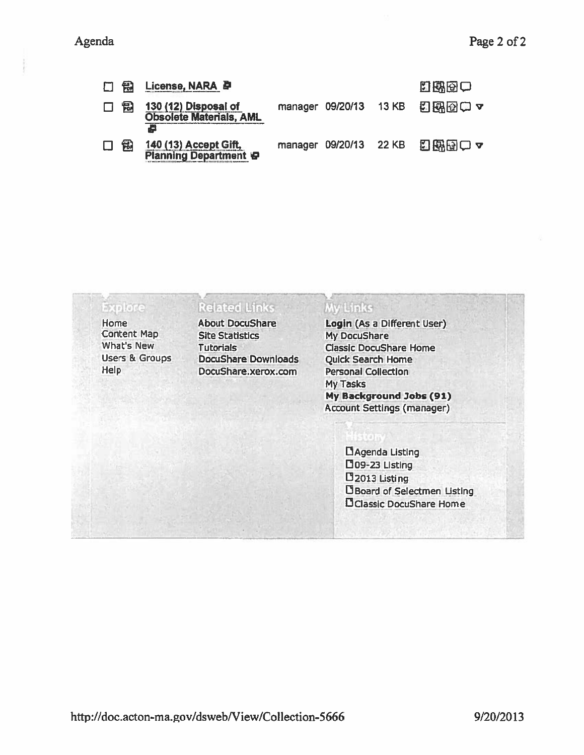| 口骨     |   | License, NARA <i>D</i>                                      |                        |              | 四國國口  |
|--------|---|-------------------------------------------------------------|------------------------|--------------|-------|
| $\Box$ | 悦 | 130 (12) Disposal of<br><b>Obsolete Materials, AML</b><br>ē | manager 09/20/13       | <b>13 KB</b> | 日界図のマ |
|        | 氝 | 140 (13) Accept Gift,<br><b>Planning Department &amp;</b>   | manager 09/20/13 22 KB |              | 日保田一~ |